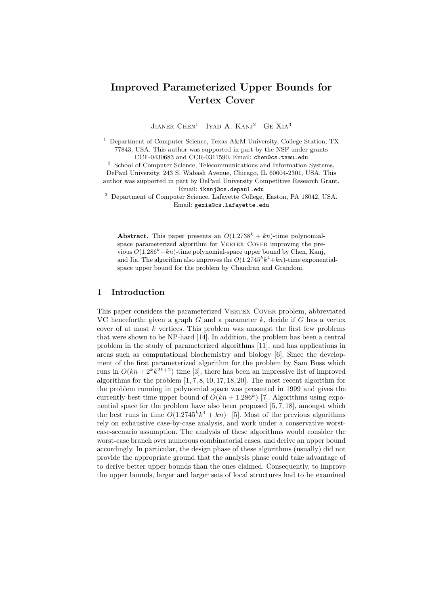# Improved Parameterized Upper Bounds for Vertex Cover

JIANER CHEN<sup>1</sup> IYAD A. KANJ<sup>2</sup> GE XIA<sup>3</sup>

<sup>1</sup> Department of Computer Science, Texas A&M University, College Station, TX 77843, USA. This author was supported in part by the NSF under grants CCF-0430683 and CCR-0311590. Email: chen@cs.tamu.edu

 $^{\rm 2}$  School of Computer Science, Telecommunications and Information Systems, DePaul University, 243 S. Wabash Avenue, Chicago, IL 60604-2301, USA. This

author was supported in part by DePaul University Competitive Research Grant. Email: ikanj@cs.depaul.edu

<sup>3</sup> Department of Computer Science, Lafayette College, Easton, PA 18042, USA. Email: gexia@cs.lafayette.edu

Abstract. This paper presents an  $O(1.2738^k + kn)$ -time polynomialspace parameterized algorithm for VERTEX COVER improving the previous  $O(1.286^k + kn)$ -time polynomial-space upper bound by Chen, Kanj, and Jia. The algorithm also improves the  $O(1.2745^k k^4 + kn)$ -time exponentialspace upper bound for the problem by Chandran and Grandoni.

# 1 Introduction

This paper considers the parameterized VERTEX COVER problem, abbreviated VC henceforth: given a graph  $G$  and a parameter  $k$ , decide if  $G$  has a vertex cover of at most  $k$  vertices. This problem was amongst the first few problems that were shown to be NP-hard [14]. In addition, the problem has been a central problem in the study of parameterized algorithms [11], and has applications in areas such as computational biochemistry and biology [6]. Since the development of the first parameterized algorithm for the problem by Sam Buss which runs in  $O(kn + 2^k k^{2k+2})$  time [3], there has been an impressive list of improved algorithms for the problem [1, 7, 8, 10, 17, 18, 20]. The most recent algorithm for the problem running in polynomial space was presented in 1999 and gives the currently best time upper bound of  $O(kn + 1.286^k)$  [7]. Algorithms using exponential space for the problem have also been proposed [5, 7, 18], amongst which the best runs in time  $O(1.2745^k k^4 + kn)$  [5]. Most of the previous algorithms rely on exhaustive case-by-case analysis, and work under a conservative worstcase-scenario assumption. The analysis of these algorithms would consider the worst-case branch over numerous combinatorial cases, and derive an upper bound accordingly. In particular, the design phase of these algorithms (usually) did not provide the appropriate ground that the analysis phase could take advantage of to derive better upper bounds than the ones claimed. Consequently, to improve the upper bounds, larger and larger sets of local structures had to be examined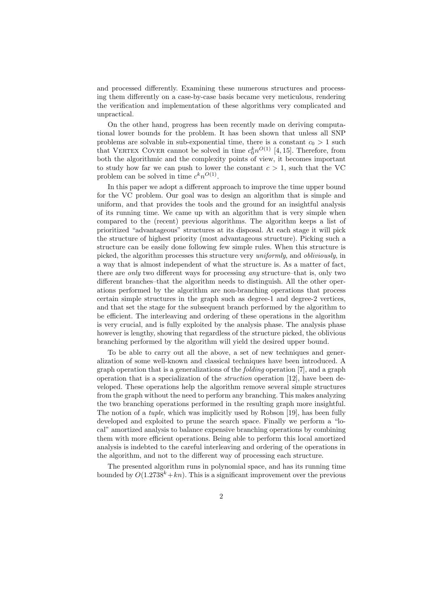and processed differently. Examining these numerous structures and processing them differently on a case-by-case basis became very meticulous, rendering the verification and implementation of these algorithms very complicated and unpractical.

On the other hand, progress has been recently made on deriving computational lower bounds for the problem. It has been shown that unless all SNP problems are solvable in sub-exponential time, there is a constant  $c_0 > 1$  such that VERTEX COVER cannot be solved in time  $c_0^k n^{O(1)}$  [4, 15]. Therefore, from both the algorithmic and the complexity points of view, it becomes important to study how far we can push to lower the constant  $c > 1$ , such that the VC problem can be solved in time  $c^k n^{O(1)}$ .

In this paper we adopt a different approach to improve the time upper bound for the VC problem. Our goal was to design an algorithm that is simple and uniform, and that provides the tools and the ground for an insightful analysis of its running time. We came up with an algorithm that is very simple when compared to the (recent) previous algorithms. The algorithm keeps a list of prioritized "advantageous" structures at its disposal. At each stage it will pick the structure of highest priority (most advantageous structure). Picking such a structure can be easily done following few simple rules. When this structure is picked, the algorithm processes this structure very uniformly, and obliviously, in a way that is almost independent of what the structure is. As a matter of fact, there are only two different ways for processing any structure–that is, only two different branches–that the algorithm needs to distinguish. All the other operations performed by the algorithm are non-branching operations that process certain simple structures in the graph such as degree-1 and degree-2 vertices, and that set the stage for the subsequent branch performed by the algorithm to be efficient. The interleaving and ordering of these operations in the algorithm is very crucial, and is fully exploited by the analysis phase. The analysis phase however is lengthy, showing that regardless of the structure picked, the oblivious branching performed by the algorithm will yield the desired upper bound.

To be able to carry out all the above, a set of new techniques and generalization of some well-known and classical techniques have been introduced. A graph operation that is a generalizations of the folding operation [7], and a graph operation that is a specialization of the struction operation [12], have been developed. These operations help the algorithm remove several simple structures from the graph without the need to perform any branching. This makes analyzing the two branching operations performed in the resulting graph more insightful. The notion of a *tuple*, which was implicitly used by Robson [19], has been fully developed and exploited to prune the search space. Finally we perform a "local" amortized analysis to balance expensive branching operations by combining them with more efficient operations. Being able to perform this local amortized analysis is indebted to the careful interleaving and ordering of the operations in the algorithm, and not to the different way of processing each structure.

The presented algorithm runs in polynomial space, and has its running time bounded by  $O(1.2738^k + kn)$ . This is a significant improvement over the previous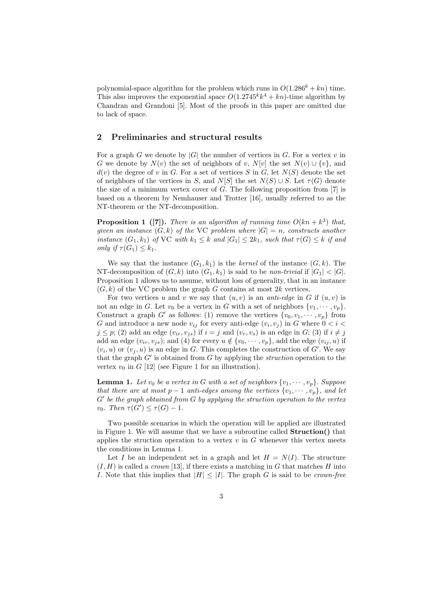polynomial-space algorithm for the problem which runs in  $O(1.286^k + kn)$  time. This also improves the exponential space  $O(1.2745^k k^4 + kn)$ -time algorithm by Chandran and Grandoni [5]. Most of the proofs in this paper are omitted due to lack of space.

# 2 Preliminaries and structural results

For a graph G we denote by  $|G|$  the number of vertices in G. For a vertex v in G we denote by  $N(v)$  the set of neighbors of v,  $N[v]$  the set  $N(v) \cup \{v\}$ , and  $d(v)$  the degree of v in G. For a set of vertices S in G, let  $N(S)$  denote the set of neighbors of the vertices in S, and N[S] the set  $N(S) \cup S$ . Let  $\tau(G)$  denote the size of a minimum vertex cover of  $G$ . The following proposition from [7] is based on a theorem by Nemhauser and Trotter [16], usually referred to as the NT-theorem or the NT-decomposition.

**Proposition 1** ([7]). There is an algorithm of running time  $O(kn + k^3)$  that, given an instance  $(G, k)$  of the VC problem where  $|G| = n$ , constructs another instance  $(G_1, k_1)$  of VC with  $k_1 \leq k$  and  $|G_1| \leq 2k_1$ , such that  $\tau(G) \leq k$  if and only if  $\tau(G_1) \leq k_1$ .

We say that the instance  $(G_1, k_1)$  is the kernel of the instance  $(G, k)$ . The NT-decomposition of  $(G, k)$  into  $(G_1, k_1)$  is said to be non-trivial if  $|G_1| < |G|$ . Proposition 1 allows us to assume, without loss of generality, that in an instance  $(G, k)$  of the VC problem the graph G contains at most 2k vertices.

For two vertices u and v we say that  $(u, v)$  is an *anti-edge* in G if  $(u, v)$  is not an edge in G. Let  $v_0$  be a vertex in G with a set of neighbors  $\{v_1, \dots, v_p\}$ . Construct a graph G' as follows: (1) remove the vertices  $\{v_0, v_1, \dots, v_p\}$  from G and introduce a new node  $v_{ij}$  for every anti-edge  $(v_i, v_j)$  in G where  $0 < i <$  $j \leq p$ ; (2) add an edge  $(v_{ir}, v_{js})$  if  $i = j$  and  $(v_r, v_s)$  is an edge in G; (3) if  $i \neq j$ add an edge  $(v_{ir}, v_{js})$ ; and (4) for every  $u \notin \{v_0, \dots, v_p\}$ , add the edge  $(v_{ij}, u)$  if  $(v_i, u)$  or  $(v_j, u)$  is an edge in G. This completes the construction of G'. We say that the graph  $G'$  is obtained from G by applying the *struction* operation to the vertex  $v_0$  in G [12] (see Figure 1 for an illustration).

**Lemma 1.** Let  $v_0$  be a vertex in G with a set of neighbors  $\{v_1, \dots, v_n\}$ . Suppose that there are at most  $p-1$  anti-edges among the vertices  $\{v_1, \dots, v_p\}$ , and let  $G'$  be the graph obtained from  $G$  by applying the struction operation to the vertex  $v_0$ . Then  $\tau(G') \leq \tau(G) - 1$ .

Two possible scenarios in which the operation will be applied are illustrated in Figure 1. We will assume that we have a subroutine called Struction() that applies the struction operation to a vertex  $v$  in  $G$  whenever this vertex meets the conditions in Lemma 1.

Let I be an independent set in a graph and let  $H = N(I)$ . The structure  $(I, H)$  is called a *crown* [13], if there exists a matching in G that matches H into I. Note that this implies that  $|H| \leq |I|$ . The graph G is said to be *crown-free*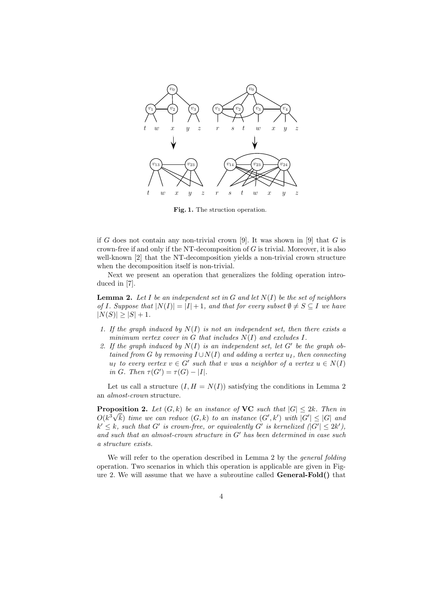

Fig. 1. The struction operation.

if G does not contain any non-trivial crown [9]. It was shown in [9] that G is crown-free if and only if the NT-decomposition of G is trivial. Moreover, it is also well-known [2] that the NT-decomposition yields a non-trivial crown structure when the decomposition itself is non-trivial.

Next we present an operation that generalizes the folding operation introduced in [7].

**Lemma 2.** Let I be an independent set in G and let  $N(I)$  be the set of neighbors of I. Suppose that  $|N(I)| = |I| + 1$ , and that for every subset  $\emptyset \neq S \subseteq I$  we have  $|N(S)| > |S| + 1.$ 

- 1. If the graph induced by  $N(I)$  is not an independent set, then there exists a minimum vertex cover in  $G$  that includes  $N(I)$  and excludes  $I$ .
- 2. If the graph induced by  $N(I)$  is an independent set, let G' be the graph obtained from G by removing  $I \cup N(I)$  and adding a vertex  $u_I$ , then connecting  $u_I$  to every vertex  $v \in G'$  such that v was a neighbor of a vertex  $u \in N(I)$ in G. Then  $\tau(G') = \tau(G) - |I|.$

Let us call a structure  $(I, H = N(I))$  satisfying the conditions in Lemma 2 an almost-crown structure.

**Proposition 2.** Let  $(G, k)$  be an instance of **VC** such that  $|G| \leq 2k$ . Then in  $O(k^3\sqrt{k})$  time we can reduce  $(G, k)$  to an instance  $(G', k')$  with  $|G'| \leq |G|$  and  $k' \leq k$ , such that G' is crown-free, or equivalently G' is kernelized  $(|G'| \leq 2k')$ , and such that an almost-crown structure in  $G'$  has been determined in case such a structure exists.

We will refer to the operation described in Lemma 2 by the *general folding* operation. Two scenarios in which this operation is applicable are given in Figure 2. We will assume that we have a subroutine called General-Fold() that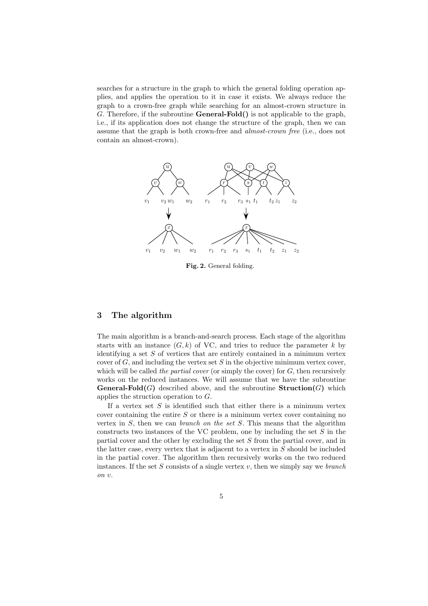searches for a structure in the graph to which the general folding operation applies, and applies the operation to it in case it exists. We always reduce the graph to a crown-free graph while searching for an almost-crown structure in G. Therefore, if the subroutine General-Fold() is not applicable to the graph, i.e., if its application does not change the structure of the graph, then we can assume that the graph is both crown-free and almost-crown free (i.e., does not contain an almost-crown).



Fig. 2. General folding.

# 3 The algorithm

The main algorithm is a branch-and-search process. Each stage of the algorithm starts with an instance  $(G, k)$  of VC, and tries to reduce the parameter k by identifying a set  $S$  of vertices that are entirely contained in a minimum vertex cover of  $G$ , and including the vertex set  $S$  in the objective minimum vertex cover, which will be called the partial cover (or simply the cover) for  $G$ , then recursively works on the reduced instances. We will assume that we have the subroutine **General-Fold** $(G)$  described above, and the subroutine **Struction** $(G)$  which applies the struction operation to G.

If a vertex set  $S$  is identified such that either there is a minimum vertex cover containing the entire  $S$  or there is a minimum vertex cover containing no vertex in  $S$ , then we can *branch* on the set  $S$ . This means that the algorithm constructs two instances of the VC problem, one by including the set  $S$  in the partial cover and the other by excluding the set S from the partial cover, and in the latter case, every vertex that is adjacent to a vertex in S should be included in the partial cover. The algorithm then recursively works on the two reduced instances. If the set S consists of a single vertex  $v$ , then we simply say we branch on v.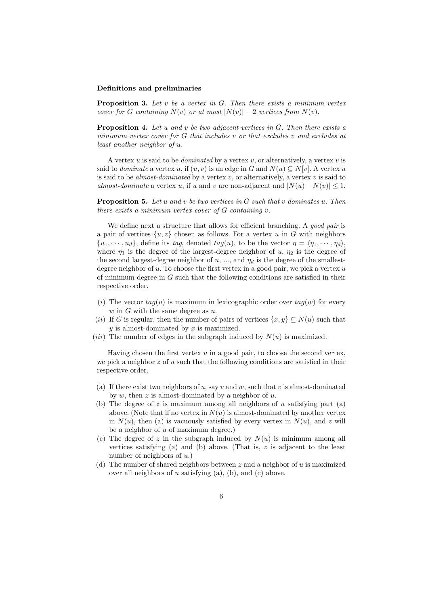#### Definitions and preliminaries

**Proposition 3.** Let v be a vertex in G. Then there exists a minimum vertex cover for G containing  $N(v)$  or at most  $|N(v)|-2$  vertices from  $N(v)$ .

**Proposition 4.** Let u and v be two adjacent vertices in  $G$ . Then there exists a minimum vertex cover for G that includes v or that excludes v and excludes at least another neighbor of u.

A vertex  $u$  is said to be *dominated* by a vertex  $v$ , or alternatively, a vertex  $v$  is said to *dominate* a vertex u, if  $(u, v)$  is an edge in G and  $N(u) \subseteq N[v]$ . A vertex u is said to be *almost-dominated* by a vertex  $v$ , or alternatively, a vertex  $v$  is said to almost-dominate a vertex u, if u and v are non-adjacent and  $|N(u) - N(v)| \leq 1$ .

**Proposition 5.** Let u and v be two vertices in  $G$  such that v dominates u. Then there exists a minimum vertex cover of G containing v.

We define next a structure that allows for efficient branching. A *good pair* is a pair of vertices  $\{u, z\}$  chosen as follows. For a vertex u in G with neighbors  $\{u_1, \dots, u_d\}$ , define its tag, denoted tag(u), to be the vector  $\eta = \langle \eta_1, \dots, \eta_d \rangle$ , where  $\eta_1$  is the degree of the largest-degree neighbor of u,  $\eta_2$  is the degree of the second largest-degree neighbor of u, ..., and  $\eta_d$  is the degree of the smallestdegree neighbor of  $u$ . To choose the first vertex in a good pair, we pick a vertex  $u$ of minimum degree in  $G$  such that the following conditions are satisfied in their respective order.

- (i) The vector  $tag(u)$  is maximum in lexicographic order over  $tag(w)$  for every  $w$  in  $G$  with the same degree as  $u$ .
- (ii) If G is regular, then the number of pairs of vertices  $\{x, y\} \subseteq N(u)$  such that  $y$  is almost-dominated by  $x$  is maximized.
- (*iii*) The number of edges in the subgraph induced by  $N(u)$  is maximized.

Having chosen the first vertex  $u$  in a good pair, to choose the second vertex, we pick a neighbor  $z$  of  $u$  such that the following conditions are satisfied in their respective order.

- (a) If there exist two neighbors of u, say v and w, such that v is almost-dominated by w, then z is almost-dominated by a neighbor of  $u$ .
- (b) The degree of z is maximum among all neighbors of u satisfying part (a) above. (Note that if no vertex in  $N(u)$  is almost-dominated by another vertex in  $N(u)$ , then (a) is vacuously satisfied by every vertex in  $N(u)$ , and z will be a neighbor of  $u$  of maximum degree.)
- (c) The degree of z in the subgraph induced by  $N(u)$  is minimum among all vertices satisfying (a) and (b) above. (That is,  $z$  is adjacent to the least number of neighbors of  $u$ .)
- (d) The number of shared neighbors between  $z$  and a neighbor of u is maximized over all neighbors of  $u$  satisfying  $(a)$ ,  $(b)$ , and  $(c)$  above.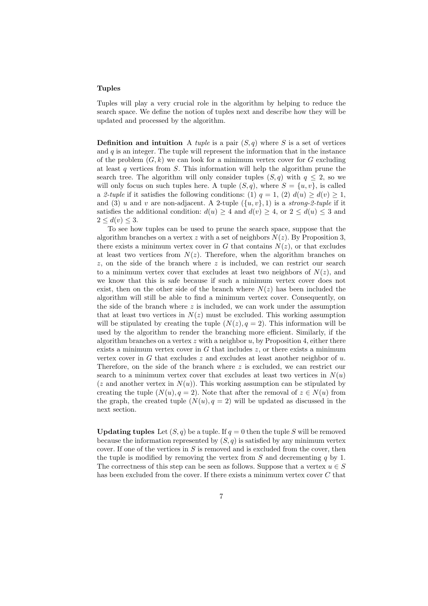#### Tuples

Tuples will play a very crucial role in the algorithm by helping to reduce the search space. We define the notion of tuples next and describe how they will be updated and processed by the algorithm.

**Definition and intuition** A tuple is a pair  $(S, q)$  where S is a set of vertices and  $q$  is an integer. The tuple will represent the information that in the instance of the problem  $(G, k)$  we can look for a minimum vertex cover for G excluding at least  $q$  vertices from  $S$ . This information will help the algorithm prune the search tree. The algorithm will only consider tuples  $(S, q)$  with  $q \leq 2$ , so we will only focus on such tuples here. A tuple  $(S, q)$ , where  $S = \{u, v\}$ , is called a 2-tuple if it satisfies the following conditions: (1)  $q = 1$ , (2)  $d(u) \geq d(v) \geq 1$ , and (3) u and v are non-adjacent. A 2-tuple  $({u, v}, 1)$  is a *strong-2-tuple* if it satisfies the additional condition:  $d(u) \geq 4$  and  $d(v) \geq 4$ , or  $2 \leq d(u) \leq 3$  and  $2 < d(v) < 3$ .

To see how tuples can be used to prune the search space, suppose that the algorithm branches on a vertex z with a set of neighbors  $N(z)$ . By Proposition 3, there exists a minimum vertex cover in G that contains  $N(z)$ , or that excludes at least two vertices from  $N(z)$ . Therefore, when the algorithm branches on  $z$ , on the side of the branch where  $z$  is included, we can restrict our search to a minimum vertex cover that excludes at least two neighbors of  $N(z)$ , and we know that this is safe because if such a minimum vertex cover does not exist, then on the other side of the branch where  $N(z)$  has been included the algorithm will still be able to find a minimum vertex cover. Consequently, on the side of the branch where  $z$  is included, we can work under the assumption that at least two vertices in  $N(z)$  must be excluded. This working assumption will be stipulated by creating the tuple  $(N(z), q = 2)$ . This information will be used by the algorithm to render the branching more efficient. Similarly, if the algorithm branches on a vertex  $z$  with a neighbor  $u$ , by Proposition 4, either there exists a minimum vertex cover in  $G$  that includes  $z$ , or there exists a minimum vertex cover in  $G$  that excludes  $z$  and excludes at least another neighbor of  $u$ . Therefore, on the side of the branch where  $z$  is excluded, we can restrict our search to a minimum vertex cover that excludes at least two vertices in  $N(u)$  $(z$  and another vertex in  $N(u)$ . This working assumption can be stipulated by creating the tuple  $(N(u), q = 2)$ . Note that after the removal of  $z \in N(u)$  from the graph, the created tuple  $(N(u), q = 2)$  will be updated as discussed in the next section.

**Updating tuples** Let  $(S, q)$  be a tuple. If  $q = 0$  then the tuple S will be removed because the information represented by  $(S, q)$  is satisfied by any minimum vertex cover. If one of the vertices in  $S$  is removed and is excluded from the cover, then the tuple is modified by removing the vertex from  $S$  and decrementing  $q$  by 1. The correctness of this step can be seen as follows. Suppose that a vertex  $u \in S$ has been excluded from the cover. If there exists a minimum vertex cover C that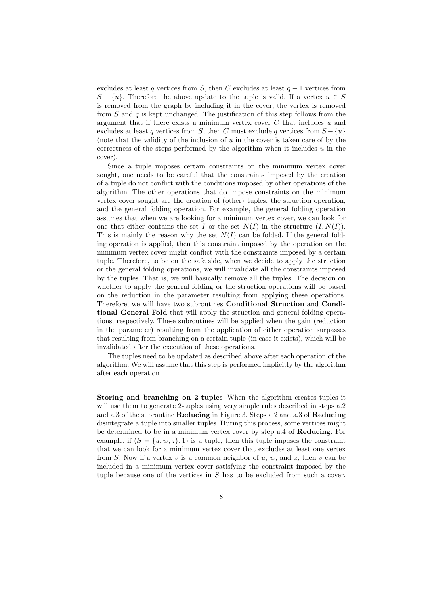excludes at least q vertices from S, then C excludes at least  $q-1$  vertices from  $S - \{u\}$ . Therefore the above update to the tuple is valid. If a vertex  $u \in S$ is removed from the graph by including it in the cover, the vertex is removed from  $S$  and  $q$  is kept unchanged. The justification of this step follows from the argument that if there exists a minimum vertex cover  $C$  that includes  $u$  and excludes at least q vertices from S, then C must exclude q vertices from  $S - \{u\}$ (note that the validity of the inclusion of  $u$  in the cover is taken care of by the correctness of the steps performed by the algorithm when it includes  $u$  in the cover).

Since a tuple imposes certain constraints on the minimum vertex cover sought, one needs to be careful that the constraints imposed by the creation of a tuple do not conflict with the conditions imposed by other operations of the algorithm. The other operations that do impose constraints on the minimum vertex cover sought are the creation of (other) tuples, the struction operation, and the general folding operation. For example, the general folding operation assumes that when we are looking for a minimum vertex cover, we can look for one that either contains the set I or the set  $N(I)$  in the structure  $(I, N(I))$ . This is mainly the reason why the set  $N(I)$  can be folded. If the general folding operation is applied, then this constraint imposed by the operation on the minimum vertex cover might conflict with the constraints imposed by a certain tuple. Therefore, to be on the safe side, when we decide to apply the struction or the general folding operations, we will invalidate all the constraints imposed by the tuples. That is, we will basically remove all the tuples. The decision on whether to apply the general folding or the struction operations will be based on the reduction in the parameter resulting from applying these operations. Therefore, we will have two subroutines Conditional Struction and Conditional General Fold that will apply the struction and general folding operations, respectively. These subroutines will be applied when the gain (reduction in the parameter) resulting from the application of either operation surpasses that resulting from branching on a certain tuple (in case it exists), which will be invalidated after the execution of these operations.

The tuples need to be updated as described above after each operation of the algorithm. We will assume that this step is performed implicitly by the algorithm after each operation.

Storing and branching on 2-tuples When the algorithm creates tuples it will use them to generate 2-tuples using very simple rules described in steps a.2 and a.3 of the subroutine Reducing in Figure 3. Steps a.2 and a.3 of Reducing disintegrate a tuple into smaller tuples. During this process, some vertices might be determined to be in a minimum vertex cover by step a.4 of Reducing. For example, if  $(S = {u, w, z}, 1)$  is a tuple, then this tuple imposes the constraint that we can look for a minimum vertex cover that excludes at least one vertex from  $S$ . Now if a vertex  $v$  is a common neighbor of  $u, w$ , and  $z$ , then  $v$  can be included in a minimum vertex cover satisfying the constraint imposed by the tuple because one of the vertices in S has to be excluded from such a cover.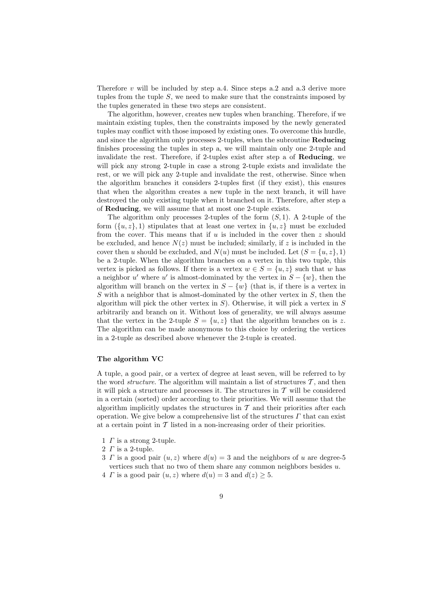Therefore  $v$  will be included by step a.4. Since steps a.2 and a.3 derive more tuples from the tuple  $S$ , we need to make sure that the constraints imposed by the tuples generated in these two steps are consistent.

The algorithm, however, creates new tuples when branching. Therefore, if we maintain existing tuples, then the constraints imposed by the newly generated tuples may conflict with those imposed by existing ones. To overcome this hurdle, and since the algorithm only processes 2-tuples, when the subroutine Reducing finishes processing the tuples in step a, we will maintain only one 2-tuple and invalidate the rest. Therefore, if 2-tuples exist after step a of Reducing, we will pick any strong 2-tuple in case a strong 2-tuple exists and invalidate the rest, or we will pick any 2-tuple and invalidate the rest, otherwise. Since when the algorithm branches it considers 2-tuples first (if they exist), this ensures that when the algorithm creates a new tuple in the next branch, it will have destroyed the only existing tuple when it branched on it. Therefore, after step a of Reducing, we will assume that at most one 2-tuple exists.

The algorithm only processes 2-tuples of the form  $(S, 1)$ . A 2-tuple of the form  $({u, z}, 1)$  stipulates that at least one vertex in  ${u, z}$  must be excluded from the cover. This means that if  $u$  is included in the cover then  $z$  should be excluded, and hence  $N(z)$  must be included; similarly, if z is included in the cover then u should be excluded, and  $N(u)$  must be included. Let  $(S = \{u, z\}, 1)$ be a 2-tuple. When the algorithm branches on a vertex in this two tuple, this vertex is picked as follows. If there is a vertex  $w \in S = \{u, z\}$  such that w has a neighbor u' where u' is almost-dominated by the vertex in  $S - \{w\}$ , then the algorithm will branch on the vertex in  $S - \{w\}$  (that is, if there is a vertex in  $S$  with a neighbor that is almost-dominated by the other vertex in  $S$ , then the algorithm will pick the other vertex in  $S$ ). Otherwise, it will pick a vertex in  $S$ arbitrarily and branch on it. Without loss of generality, we will always assume that the vertex in the 2-tuple  $S = \{u, z\}$  that the algorithm branches on is z. The algorithm can be made anonymous to this choice by ordering the vertices in a 2-tuple as described above whenever the 2-tuple is created.

### The algorithm VC

A tuple, a good pair, or a vertex of degree at least seven, will be referred to by the word *structure*. The algorithm will maintain a list of structures  $\mathcal{T}$ , and then it will pick a structure and processes it. The structures in  $T$  will be considered in a certain (sorted) order according to their priorities. We will assume that the algorithm implicitly updates the structures in  $\mathcal T$  and their priorities after each operation. We give below a comprehensive list of the structures  $\Gamma$  that can exist at a certain point in  $\mathcal T$  listed in a non-increasing order of their priorities.

- $1 \, \Gamma$  is a strong 2-tuple.
- 2  $\Gamma$  is a 2-tuple.
- 3  $\Gamma$  is a good pair  $(u, z)$  where  $d(u) = 3$  and the neighbors of u are degree-5 vertices such that no two of them share any common neighbors besides u.
- 4  $\Gamma$  is a good pair  $(u, z)$  where  $d(u) = 3$  and  $d(z) \geq 5$ .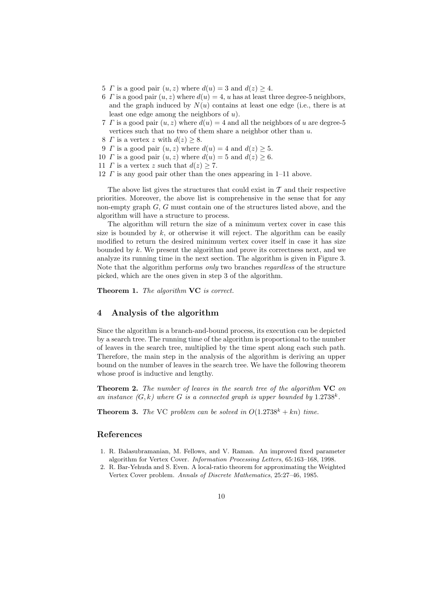- 5  $\Gamma$  is a good pair  $(u, z)$  where  $d(u) = 3$  and  $d(z) \geq 4$ .
- 6  $\Gamma$  is a good pair  $(u, z)$  where  $d(u) = 4$ , u has at least three degree-5 neighbors, and the graph induced by  $N(u)$  contains at least one edge (i.e., there is at least one edge among the neighbors of u).
- 7  $\Gamma$  is a good pair  $(u, z)$  where  $d(u) = 4$  and all the neighbors of u are degree-5 vertices such that no two of them share a neighbor other than u.
- 8 *Γ* is a vertex *z* with  $d(z) \geq 8$ .
- 9 *Γ* is a good pair  $(u, z)$  where  $d(u) = 4$  and  $d(z) \ge 5$ .
- 10  $\Gamma$  is a good pair  $(u, z)$  where  $d(u) = 5$  and  $d(z) \geq 6$ .
- 11  $\Gamma$  is a vertex z such that  $d(z) \geq 7$ .
- 12 Γ is any good pair other than the ones appearing in 1–11 above.

The above list gives the structures that could exist in  $\mathcal T$  and their respective priorities. Moreover, the above list is comprehensive in the sense that for any non-empty graph G, G must contain one of the structures listed above, and the algorithm will have a structure to process.

The algorithm will return the size of a minimum vertex cover in case this size is bounded by  $k$ , or otherwise it will reject. The algorithm can be easily modified to return the desired minimum vertex cover itself in case it has size bounded by  $k$ . We present the algorithm and prove its correctness next, and we analyze its running time in the next section. The algorithm is given in Figure 3. Note that the algorithm performs only two branches regardless of the structure picked, which are the ones given in step 3 of the algorithm.

Theorem 1. The algorithm VC is correct.

## 4 Analysis of the algorithm

Since the algorithm is a branch-and-bound process, its execution can be depicted by a search tree. The running time of the algorithm is proportional to the number of leaves in the search tree, multiplied by the time spent along each such path. Therefore, the main step in the analysis of the algorithm is deriving an upper bound on the number of leaves in the search tree. We have the following theorem whose proof is inductive and lengthy.

Theorem 2. The number of leaves in the search tree of the algorithm VC on an instance  $(G, k)$  where G is a connected graph is upper bounded by 1.2738<sup>k</sup>.

**Theorem 3.** The VC problem can be solved in  $O(1.2738^k + kn)$  time.

## References

- 1. R. Balasubramanian, M. Fellows, and V. Raman. An improved fixed parameter algorithm for Vertex Cover. Information Processing Letters, 65:163–168, 1998.
- 2. R. Bar-Yehuda and S. Even. A local-ratio theorem for approximating the Weighted Vertex Cover problem. Annals of Discrete Mathematics, 25:27–46, 1985.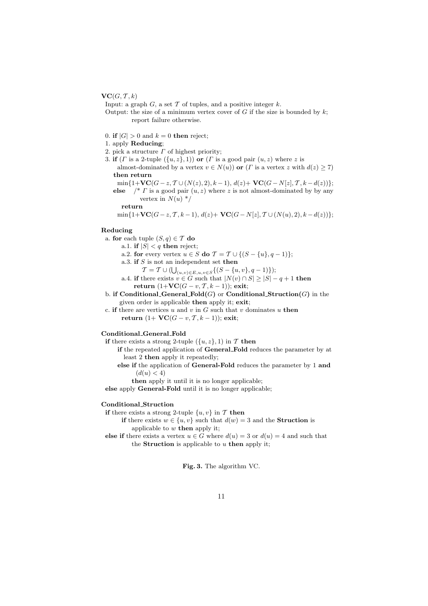#### $VC(G, \mathcal{T}, k)$

Input: a graph  $G$ , a set  $T$  of tuples, and a positive integer  $k$ .

- Output: the size of a minimum vertex cover of  $G$  if the size is bounded by  $k$ ; report failure otherwise.
- 0. if  $|G| > 0$  and  $k = 0$  then reject;
- 1. apply Reducing;
- 2. pick a structure  $\Gamma$  of highest priority;
- 3. if ( $\Gamma$  is a 2-tuple  $({u, z}, 1)$ ) or ( $\Gamma$  is a good pair  $(u, z)$  where z is almost-dominated by a vertex  $v \in N(u)$ ) or (*Γ* is a vertex z with  $d(z) \geq 7$ ) then return
	- $\min\{1+\mathbf{VC}(G-z,\mathcal{T}\cup(N(z),2),k-1), d(z)+\mathbf{VC}(G-N[z],\mathcal{T},k-d(z))\};$ else /\* Γ is a good pair  $(u, z)$  where z is not almost-dominated by by any vertex in  $N(u)$  \*/ return

$$
\min\{1+\mathbf{VC}(G-z,T,k-1),\,d(z)+\mathbf{VC}(G-N[z],\mathcal{T}\cup(N(u),2),k-d(z))\};
$$

### Reducing

a. for each tuple  $(S, q) \in \mathcal{T}$  do

- a.1. if  $|S| < q$  then reject;
- a.2. for every vertex  $u \in S$  do  $\mathcal{T} = \mathcal{T} \cup \{(S \{u\}, q 1)\};\$
- a.3. if S is not an independent set then
	- $\mathcal{T} = \mathcal{T} \cup (\bigcup_{(u,v)\in E, u,v\in S} \{(S \{u,v\}, q-1)\});$
- a.4. if there exists  $v \in G$  such that  $|N(v) \cap S| \geq |S| q + 1$  then return  $(1+{\bf VC}(G-v,T,k-1));$  exit;
- b. if Conditional General  $\text{Fold}(G)$  or Conditional Struction(G) in the given order is applicable then apply it; exit;
- c. if there are vertices  $u$  and  $v$  in  $G$  such that  $v$  dominates  $u$  then return  $(1+ \mathbf{VC}(G-v, \mathcal{T}, k-1))$ ; exit;

## Conditional General Fold

if there exists a strong 2-tuple  $({u, z}, 1)$  in T then

- if the repeated application of General Fold reduces the parameter by at least 2 then apply it repeatedly;
- else if the application of General-Fold reduces the parameter by 1 and  $(d(u) < 4)$ 
	- then apply it until it is no longer applicable;

else apply General-Fold until it is no longer applicable;

## Conditional Struction

if there exists a strong 2-tuple  $\{u, v\}$  in T then

- if there exists  $w \in \{u, v\}$  such that  $d(w) = 3$  and the **Struction** is applicable to  $w$  then apply it;
- else if there exists a vertex  $u \in G$  where  $d(u) = 3$  or  $d(u) = 4$  and such that the **Struction** is applicable to  $u$  then apply it;

Fig. 3. The algorithm VC.